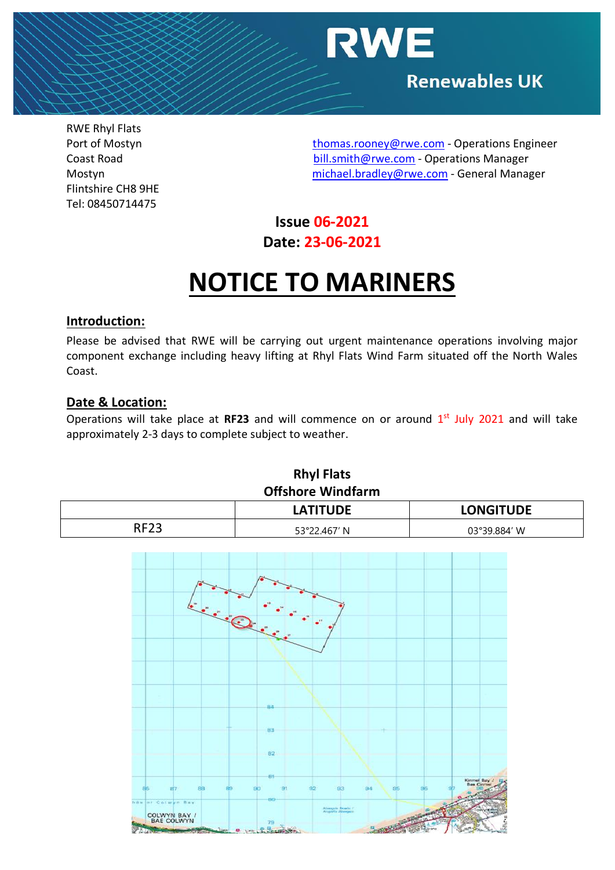

RWE Rhyl Flats Flintshire CH8 9HE Tel: 08450714475

Port of Mostyn [thomas.rooney@rwe.com](mailto:thomas.rooney@rwe.com) - Operations Engineer Coast Road [bill.smith@rwe.com](mailto:bill.smith@rwe.com) - Operations Manager Mostyn [michael.bradley@rwe.com](mailto:michael.bradley@rwe.com) - General Manager

## **Issue 06-2021 Date: 23-06-2021**

## **NOTICE TO MARINERS**

#### **Introduction:**

Please be advised that RWE will be carrying out urgent maintenance operations involving major component exchange including heavy lifting at Rhyl Flats Wind Farm situated off the North Wales Coast.

#### **Date & Location:**

Operations will take place at RF23 and will commence on or around 1<sup>st</sup> July 2021 and will take approximately 2-3 days to complete subject to weather.

| KNYI FIATS<br><b>Offshore Windfarm</b> |                 |                  |
|----------------------------------------|-----------------|------------------|
|                                        | <b>LATITUDE</b> | <b>LONGITUDE</b> |
| <b>RF23</b>                            | 53°22.467′ N    | 03°39.884′ W     |



**Rhyl Flats**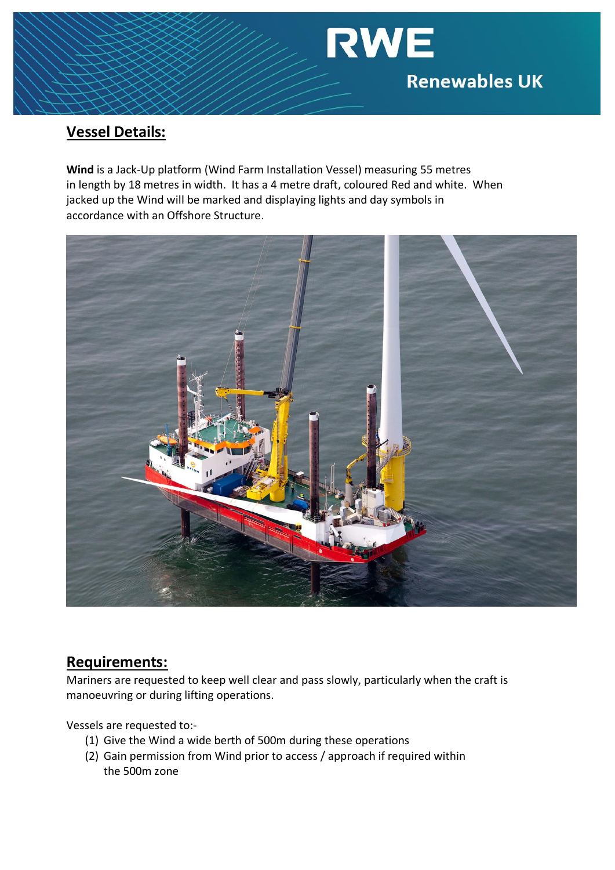# **RWE Renewables UK**

### **Vessel Details:**

**Wind** is a Jack-Up platform (Wind Farm Installation Vessel) measuring 55 metres in length by 18 metres in width. It has a 4 metre draft, coloured Red and white. When jacked up the Wind will be marked and displaying lights and day symbols in accordance with an Offshore Structure.



#### **Requirements:**

Mariners are requested to keep well clear and pass slowly, particularly when the craft is manoeuvring or during lifting operations.

Vessels are requested to:-

- (1) Give the Wind a wide berth of 500m during these operations
- (2) Gain permission from Wind prior to access / approach if required within the 500m zone